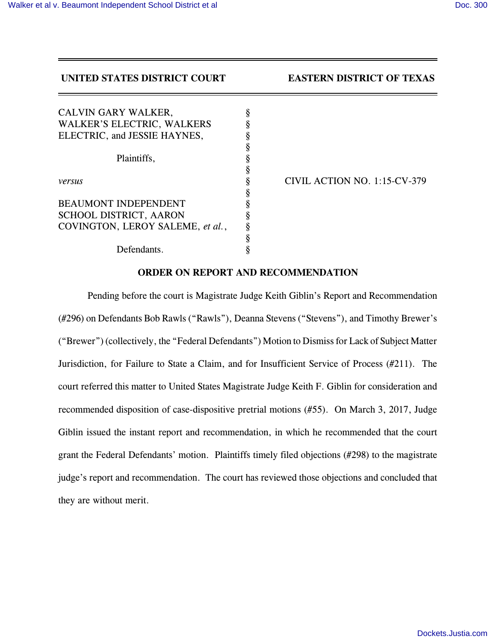# **UNITED STATES DISTRICT COURT EASTERN DISTRICT OF TEXAS**

| CALVIN GARY WALKER,               | § |
|-----------------------------------|---|
| <b>WALKER'S ELECTRIC, WALKERS</b> | ş |
| ELECTRIC, and JESSIE HAYNES,      | ş |
|                                   | ş |
| Plaintiffs,                       |   |
|                                   | ş |
| versus                            | ş |
|                                   | ş |
| <b>BEAUMONT INDEPENDENT</b>       | § |
| SCHOOL DISTRICT, AARON            | ş |
| COVINGTON, LEROY SALEME, et al.,  | ş |
|                                   | ş |
| Defendants.                       |   |

*versus* § CIVIL ACTION NO. 1:15-CV-379

## **ORDER ON REPORT AND RECOMMENDATION**

Pending before the court is Magistrate Judge Keith Giblin's Report and Recommendation (#296) on Defendants Bob Rawls ("Rawls"), Deanna Stevens ("Stevens"), and Timothy Brewer's ("Brewer") (collectively, the "Federal Defendants") Motion to Dismiss for Lack of Subject Matter Jurisdiction, for Failure to State a Claim, and for Insufficient Service of Process (#211). The court referred this matter to United States Magistrate Judge Keith F. Giblin for consideration and recommended disposition of case-dispositive pretrial motions (#55). On March 3, 2017, Judge Giblin issued the instant report and recommendation, in which he recommended that the court grant the Federal Defendants' motion. Plaintiffs timely filed objections (#298) to the magistrate judge's report and recommendation. The court has reviewed those objections and concluded that they are without merit.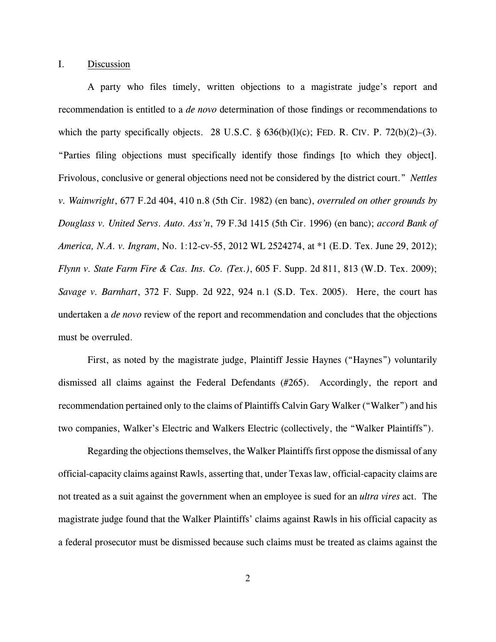## I. Discussion

A party who files timely, written objections to a magistrate judge's report and recommendation is entitled to a *de novo* determination of those findings or recommendations to which the party specifically objects. 28 U.S.C.  $\S$  636(b)(l)(c); FED. R. CIV. P. 72(b)(2)–(3). "Parties filing objections must specifically identify those findings [to which they object]. Frivolous, conclusive or general objections need not be considered by the district court." *Nettles v. Wainwright*, 677 F.2d 404, 410 n.8 (5th Cir. 1982) (en banc), *overruled on other grounds by Douglass v. United Servs. Auto. Ass'n*, 79 F.3d 1415 (5th Cir. 1996) (en banc); *accord Bank of America, N.A. v. Ingram*, No. 1:12-cv-55, 2012 WL 2524274, at \*1 (E.D. Tex. June 29, 2012); *Flynn v. State Farm Fire & Cas. Ins. Co. (Tex.)*, 605 F. Supp. 2d 811, 813 (W.D. Tex. 2009); *Savage v. Barnhart*, 372 F. Supp. 2d 922, 924 n.1 (S.D. Tex. 2005). Here, the court has undertaken a *de novo* review of the report and recommendation and concludes that the objections must be overruled.

First, as noted by the magistrate judge, Plaintiff Jessie Haynes ("Haynes") voluntarily dismissed all claims against the Federal Defendants (#265). Accordingly, the report and recommendation pertained only to the claims of Plaintiffs Calvin Gary Walker ("Walker") and his two companies, Walker's Electric and Walkers Electric (collectively, the "Walker Plaintiffs").

Regarding the objections themselves, the Walker Plaintiffs first oppose the dismissal of any official-capacity claims against Rawls, asserting that, under Texas law, official-capacity claims are not treated as a suit against the government when an employee is sued for an *ultra vires* act. The magistrate judge found that the Walker Plaintiffs' claims against Rawls in his official capacity as a federal prosecutor must be dismissed because such claims must be treated as claims against the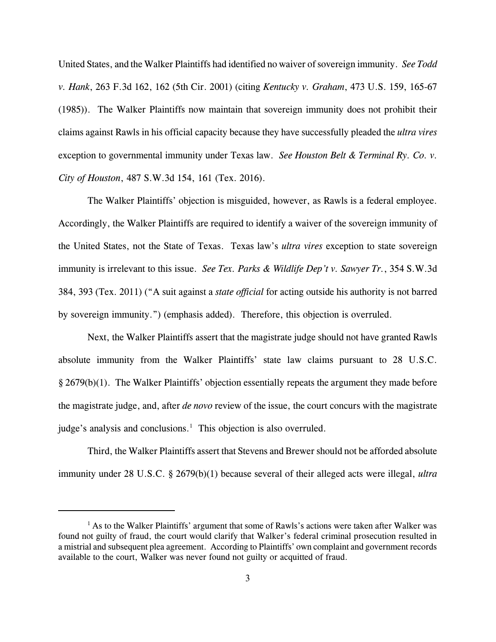United States, and the Walker Plaintiffs had identified no waiver of sovereign immunity. *See Todd v. Hank*, 263 F.3d 162, 162 (5th Cir. 2001) (citing *Kentucky v. Graham*, 473 U.S. 159, 165-67 (1985)). The Walker Plaintiffs now maintain that sovereign immunity does not prohibit their claims against Rawls in his official capacity because they have successfully pleaded the *ultra vires* exception to governmental immunity under Texas law. *See Houston Belt & Terminal Ry. Co. v. City of Houston*, 487 S.W.3d 154, 161 (Tex. 2016).

The Walker Plaintiffs' objection is misguided, however, as Rawls is a federal employee. Accordingly, the Walker Plaintiffs are required to identify a waiver of the sovereign immunity of the United States, not the State of Texas. Texas law's *ultra vires* exception to state sovereign immunity is irrelevant to this issue. *See Tex. Parks & Wildlife Dep't v. Sawyer Tr.*, 354 S.W.3d 384, 393 (Tex. 2011) ("A suit against a *state official* for acting outside his authority is not barred by sovereign immunity.") (emphasis added). Therefore, this objection is overruled.

Next, the Walker Plaintiffs assert that the magistrate judge should not have granted Rawls absolute immunity from the Walker Plaintiffs' state law claims pursuant to 28 U.S.C. § 2679(b)(1). The Walker Plaintiffs' objection essentially repeats the argument they made before the magistrate judge, and, after *de novo* review of the issue, the court concurs with the magistrate judge's analysis and conclusions.<sup>1</sup> This objection is also overruled.

Third, the Walker Plaintiffs assert that Stevens and Brewer should not be afforded absolute immunity under 28 U.S.C. § 2679(b)(1) because several of their alleged acts were illegal, *ultra*

 $<sup>1</sup>$  As to the Walker Plaintiffs' argument that some of Rawls's actions were taken after Walker was</sup> found not guilty of fraud, the court would clarify that Walker's federal criminal prosecution resulted in a mistrial and subsequent plea agreement. According to Plaintiffs' own complaint and government records available to the court, Walker was never found not guilty or acquitted of fraud.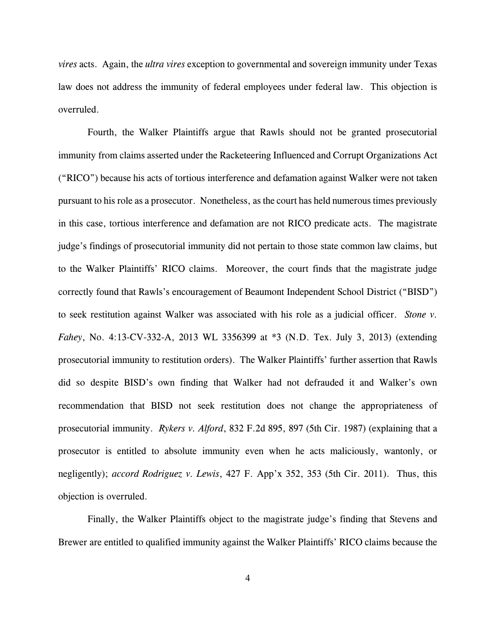*vires* acts. Again, the *ultra vires* exception to governmental and sovereign immunity under Texas law does not address the immunity of federal employees under federal law. This objection is overruled.

Fourth, the Walker Plaintiffs argue that Rawls should not be granted prosecutorial immunity from claims asserted under the Racketeering Influenced and Corrupt Organizations Act ("RICO") because his acts of tortious interference and defamation against Walker were not taken pursuant to his role as a prosecutor. Nonetheless, as the court has held numerous times previously in this case, tortious interference and defamation are not RICO predicate acts. The magistrate judge's findings of prosecutorial immunity did not pertain to those state common law claims, but to the Walker Plaintiffs' RICO claims. Moreover, the court finds that the magistrate judge correctly found that Rawls's encouragement of Beaumont Independent School District ("BISD") to seek restitution against Walker was associated with his role as a judicial officer. *Stone v. Fahey*, No. 4:13-CV-332-A, 2013 WL 3356399 at \*3 (N.D. Tex. July 3, 2013) (extending prosecutorial immunity to restitution orders). The Walker Plaintiffs' further assertion that Rawls did so despite BISD's own finding that Walker had not defrauded it and Walker's own recommendation that BISD not seek restitution does not change the appropriateness of prosecutorial immunity. *Rykers v. Alford*, 832 F.2d 895, 897 (5th Cir. 1987) (explaining that a prosecutor is entitled to absolute immunity even when he acts maliciously, wantonly, or negligently); *accord Rodriguez v. Lewis*, 427 F. App'x 352, 353 (5th Cir. 2011). Thus, this objection is overruled.

Finally, the Walker Plaintiffs object to the magistrate judge's finding that Stevens and Brewer are entitled to qualified immunity against the Walker Plaintiffs' RICO claims because the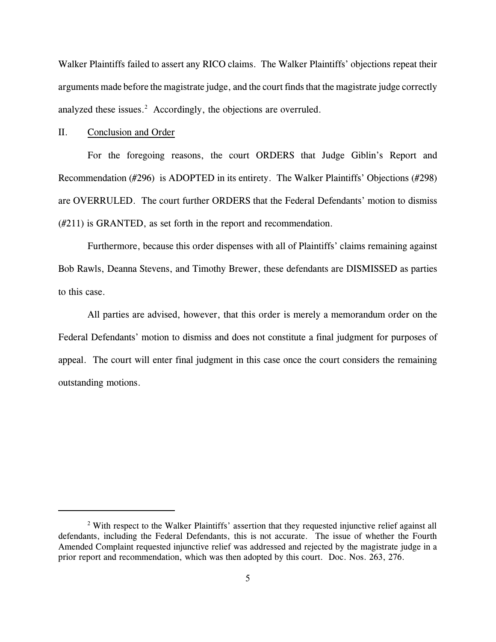Walker Plaintiffs failed to assert any RICO claims. The Walker Plaintiffs' objections repeat their arguments made before the magistrate judge, and the court finds that the magistrate judge correctly analyzed these issues.<sup>2</sup> Accordingly, the objections are overruled.

### II. Conclusion and Order

For the foregoing reasons, the court ORDERS that Judge Giblin's Report and Recommendation (#296) is ADOPTED in its entirety. The Walker Plaintiffs' Objections (#298) are OVERRULED. The court further ORDERS that the Federal Defendants' motion to dismiss (#211) is GRANTED, as set forth in the report and recommendation.

Furthermore, because this order dispenses with all of Plaintiffs' claims remaining against Bob Rawls, Deanna Stevens, and Timothy Brewer, these defendants are DISMISSED as parties to this case.

All parties are advised, however, that this order is merely a memorandum order on the Federal Defendants' motion to dismiss and does not constitute a final judgment for purposes of appeal. The court will enter final judgment in this case once the court considers the remaining outstanding motions.

<sup>&</sup>lt;sup>2</sup> With respect to the Walker Plaintiffs' assertion that they requested injunctive relief against all defendants, including the Federal Defendants, this is not accurate. The issue of whether the Fourth Amended Complaint requested injunctive relief was addressed and rejected by the magistrate judge in a prior report and recommendation, which was then adopted by this court. Doc. Nos. 263, 276.